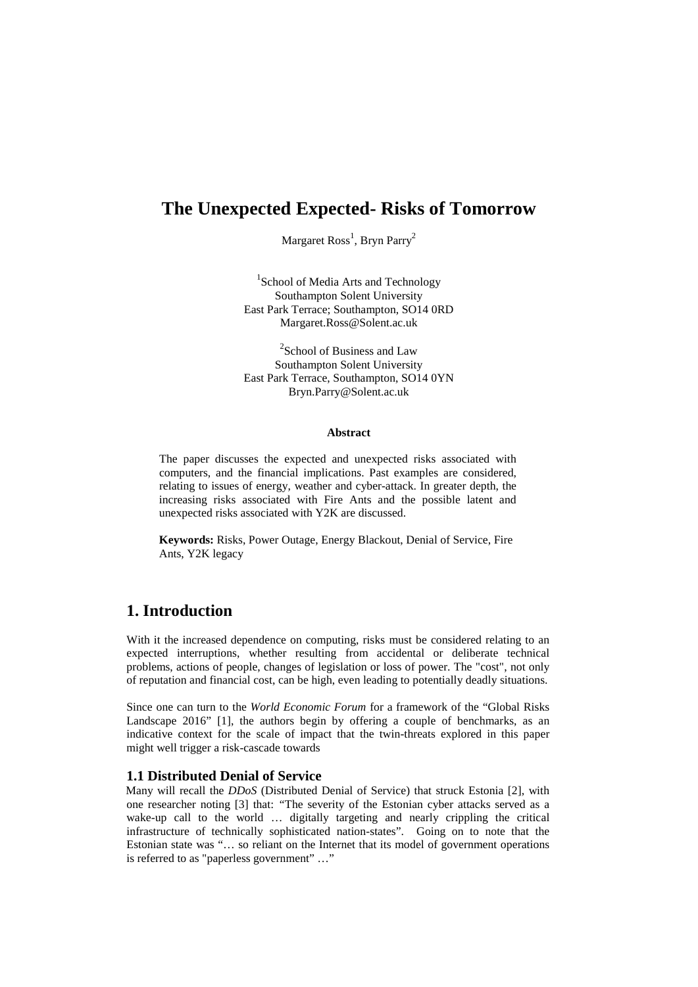# **The Unexpected Expected- Risks of Tomorrow**

Margaret Ross<sup>1</sup>, Bryn Parry<sup>2</sup>

<sup>1</sup>School of Media Arts and Technology Southampton Solent University East Park Terrace; Southampton, SO14 0RD Margaret.Ross@Solent.ac.uk

<sup>2</sup>School of Business and Law Southampton Solent University East Park Terrace, Southampton, SO14 0YN Bryn.Parry@Solent.ac.uk

#### **Abstract**

The paper discusses the expected and unexpected risks associated with computers, and the financial implications. Past examples are considered, relating to issues of energy, weather and cyber-attack. In greater depth, the increasing risks associated with Fire Ants and the possible latent and unexpected risks associated with Y2K are discussed.

**Keywords:** Risks, Power Outage, Energy Blackout, Denial of Service, Fire Ants, Y2K legacy

### **1. Introduction**

With it the increased dependence on computing, risks must be considered relating to an expected interruptions, whether resulting from accidental or deliberate technical problems, actions of people, changes of legislation or loss of power. The "cost", not only of reputation and financial cost, can be high, even leading to potentially deadly situations.

Since one can turn to the *World Economic Forum* for a framework of the "Global Risks Landscape 2016" [1], the authors begin by offering a couple of benchmarks, as an indicative context for the scale of impact that the twin-threats explored in this paper might well trigger a risk-cascade towards

#### **1.1 Distributed Denial of Service**

Many will recall the *DDoS* (Distributed Denial of Service) that struck Estonia [2], with one researcher noting [3] that: *"*The severity of the Estonian cyber attacks served as a wake-up call to the world ... digitally targeting and nearly crippling the critical infrastructure of technically sophisticated nation-states". Going on to note that the Estonian state was "… so reliant on the Internet that its model of government operations is referred to as "paperless government" …"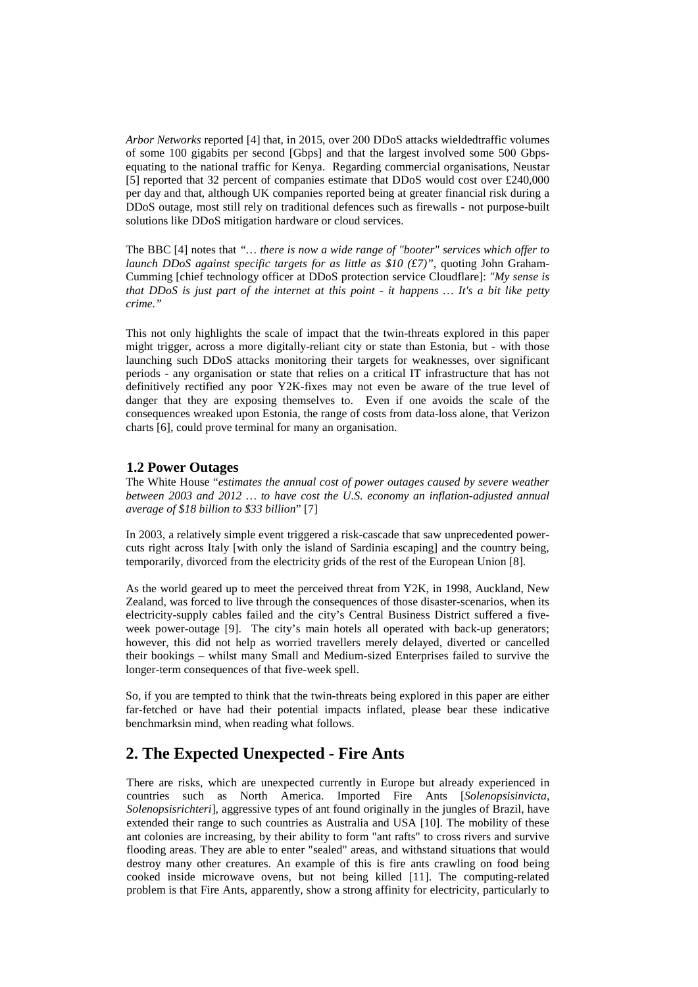*Arbor Networks* reported [4] that, in 2015, over 200 DDoS attacks wieldedtraffic volumes of some 100 gigabits per second [Gbps] and that the largest involved some 500 Gbpsequating to the national traffic for Kenya. Regarding commercial organisations, Neustar [5] reported that 32 percent of companies estimate that DDoS would cost over £240,000 per day and that, although UK companies reported being at greater financial risk during a DDoS outage, most still rely on traditional defences such as firewalls - not purpose-built solutions like DDoS mitigation hardware or cloud services.

The BBC [4] notes that *"… there is now a wide range of "booter" services which offer to launch DDoS against specific targets for as little as \$10 (£7)"*, quoting John Graham-Cumming [chief technology officer at DDoS protection service Cloudflare]: *"My sense is that DDoS is just part of the internet at this point - it happens … It's a bit like petty crime."*

This not only highlights the scale of impact that the twin-threats explored in this paper might trigger, across a more digitally-reliant city or state than Estonia, but - with those launching such DDoS attacks monitoring their targets for weaknesses, over significant periods - any organisation or state that relies on a critical IT infrastructure that has not definitively rectified any poor Y2K-fixes may not even be aware of the true level of danger that they are exposing themselves to. Even if one avoids the scale of the consequences wreaked upon Estonia, the range of costs from data-loss alone, that Verizon charts [6], could prove terminal for many an organisation.

#### **1.2 Power Outages**

The White House "*estimates the annual cost of power outages caused by severe weather between 2003 and 2012 … to have cost the U.S. economy an inflation-adjusted annual average of \$18 billion to \$33 billion*" [7]

In 2003, a relatively simple event triggered a risk-cascade that saw unprecedented powercuts right across Italy [with only the island of Sardinia escaping] and the country being, temporarily, divorced from the electricity grids of the rest of the European Union [8].

As the world geared up to meet the perceived threat from Y2K, in 1998, Auckland, New Zealand, was forced to live through the consequences of those disaster-scenarios, when its electricity-supply cables failed and the city's Central Business District suffered a fiveweek power-outage [9]. The city's main hotels all operated with back-up generators; however, this did not help as worried travellers merely delayed, diverted or cancelled their bookings – whilst many Small and Medium-sized Enterprises failed to survive the longer-term consequences of that five-week spell.

So, if you are tempted to think that the twin-threats being explored in this paper are either far-fetched or have had their potential impacts inflated, please bear these indicative benchmarksin mind, when reading what follows.

### **2. The Expected Unexpected - Fire Ants**

There are risks, which are unexpected currently in Europe but already experienced in countries such as North America. Imported Fire Ants [*Solenopsisinvicta, Solenopsisrichteri*], aggressive types of ant found originally in the jungles of Brazil, have extended their range to such countries as Australia and USA [10]. The mobility of these ant colonies are increasing, by their ability to form "ant rafts" to cross rivers and survive flooding areas. They are able to enter "sealed" areas, and withstand situations that would destroy many other creatures. An example of this is fire ants crawling on food being cooked inside microwave ovens, but not being killed [11]. The computing-related problem is that Fire Ants, apparently, show a strong affinity for electricity, particularly to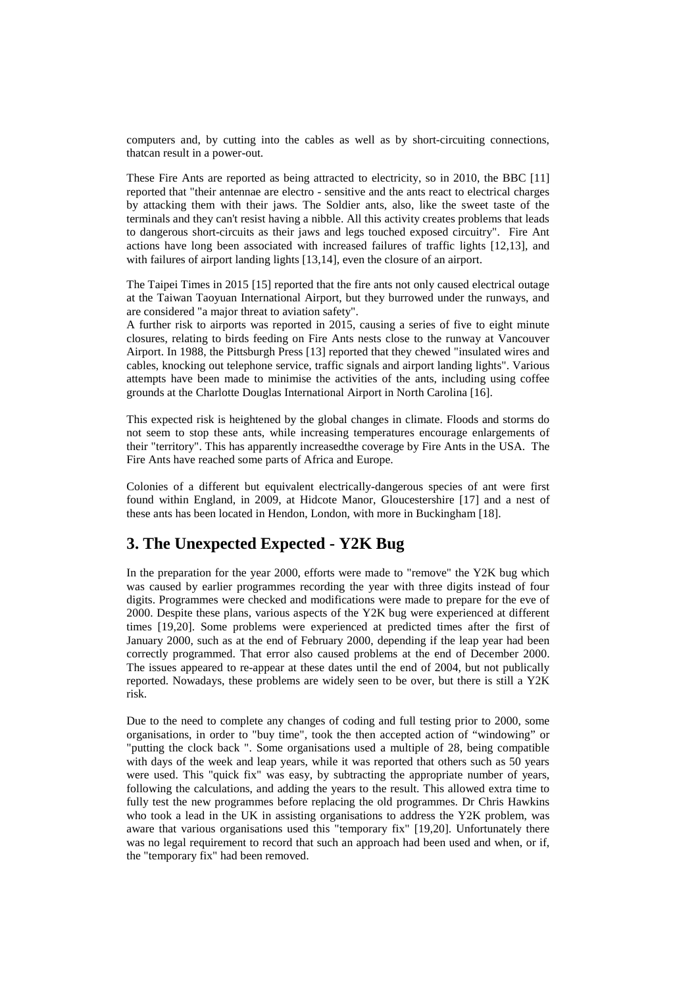computers and, by cutting into the cables as well as by short-circuiting connections, thatcan result in a power-out.

These Fire Ants are reported as being attracted to electricity, so in 2010, the BBC [11] reported that "their antennae are electro - sensitive and the ants react to electrical charges by attacking them with their jaws. The Soldier ants, also, like the sweet taste of the terminals and they can't resist having a nibble. All this activity creates problems that leads to dangerous short-circuits as their jaws and legs touched exposed circuitry". Fire Ant actions have long been associated with increased failures of traffic lights [12,13], and with failures of airport landing lights [13,14], even the closure of an airport.

The Taipei Times in 2015 [15] reported that the fire ants not only caused electrical outage at the Taiwan Taoyuan International Airport, but they burrowed under the runways, and are considered "a major threat to aviation safety".

A further risk to airports was reported in 2015, causing a series of five to eight minute closures, relating to birds feeding on Fire Ants nests close to the runway at Vancouver Airport. In 1988, the Pittsburgh Press [13] reported that they chewed "insulated wires and cables, knocking out telephone service, traffic signals and airport landing lights". Various attempts have been made to minimise the activities of the ants, including using coffee grounds at the Charlotte Douglas International Airport in North Carolina [16].

This expected risk is heightened by the global changes in climate. Floods and storms do not seem to stop these ants, while increasing temperatures encourage enlargements of their "territory". This has apparently increasedthe coverage by Fire Ants in the USA. The Fire Ants have reached some parts of Africa and Europe.

Colonies of a different but equivalent electrically-dangerous species of ant were first found within England, in 2009, at Hidcote Manor, Gloucestershire [17] and a nest of these ants has been located in Hendon, London, with more in Buckingham [18].

### **3. The Unexpected Expected - Y2K Bug**

In the preparation for the year 2000, efforts were made to "remove" the Y2K bug which was caused by earlier programmes recording the year with three digits instead of four digits. Programmes were checked and modifications were made to prepare for the eve of 2000. Despite these plans, various aspects of the Y2K bug were experienced at different times [19,20]. Some problems were experienced at predicted times after the first of January 2000, such as at the end of February 2000, depending if the leap year had been correctly programmed. That error also caused problems at the end of December 2000. The issues appeared to re-appear at these dates until the end of 2004, but not publically reported. Nowadays, these problems are widely seen to be over, but there is still a Y2K risk.

Due to the need to complete any changes of coding and full testing prior to 2000, some organisations, in order to "buy time", took the then accepted action of "windowing" or "putting the clock back ". Some organisations used a multiple of 28, being compatible with days of the week and leap years, while it was reported that others such as 50 years were used. This "quick fix" was easy, by subtracting the appropriate number of years, following the calculations, and adding the years to the result. This allowed extra time to fully test the new programmes before replacing the old programmes. Dr Chris Hawkins who took a lead in the UK in assisting organisations to address the Y2K problem, was aware that various organisations used this "temporary fix" [19,20]. Unfortunately there was no legal requirement to record that such an approach had been used and when, or if, the "temporary fix" had been removed.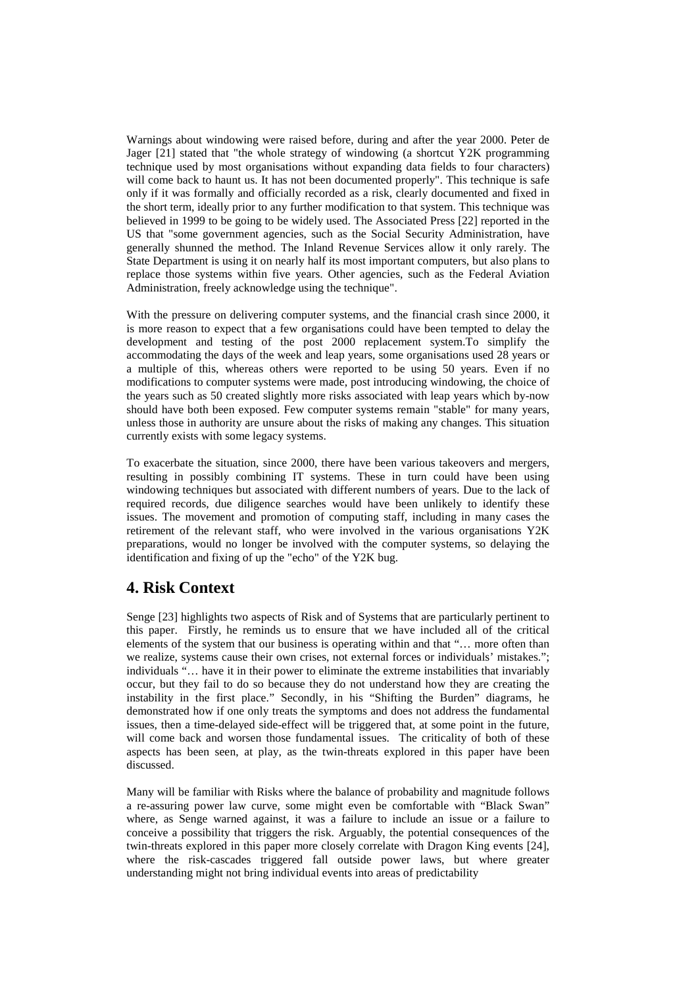Warnings about windowing were raised before, during and after the year 2000. Peter de Jager [21] stated that "the whole strategy of windowing (a shortcut Y2K programming technique used by most organisations without expanding data fields to four characters) will come back to haunt us. It has not been documented properly". This technique is safe only if it was formally and officially recorded as a risk, clearly documented and fixed in the short term, ideally prior to any further modification to that system. This technique was believed in 1999 to be going to be widely used. The Associated Press [22] reported in the US that "some government agencies, such as the Social Security Administration, have generally shunned the method. The Inland Revenue Services allow it only rarely. The State Department is using it on nearly half its most important computers, but also plans to replace those systems within five years. Other agencies, such as the Federal Aviation Administration, freely acknowledge using the technique".

With the pressure on delivering computer systems, and the financial crash since 2000, it is more reason to expect that a few organisations could have been tempted to delay the development and testing of the post 2000 replacement system.To simplify the accommodating the days of the week and leap years, some organisations used 28 years or a multiple of this, whereas others were reported to be using 50 years. Even if no modifications to computer systems were made, post introducing windowing, the choice of the years such as 50 created slightly more risks associated with leap years which by-now should have both been exposed. Few computer systems remain "stable" for many years, unless those in authority are unsure about the risks of making any changes. This situation currently exists with some legacy systems.

To exacerbate the situation, since 2000, there have been various takeovers and mergers, resulting in possibly combining IT systems. These in turn could have been using windowing techniques but associated with different numbers of years. Due to the lack of required records, due diligence searches would have been unlikely to identify these issues. The movement and promotion of computing staff, including in many cases the retirement of the relevant staff, who were involved in the various organisations Y2K preparations, would no longer be involved with the computer systems, so delaying the identification and fixing of up the "echo" of the Y2K bug.

### **4. Risk Context**

Senge [23] highlights two aspects of Risk and of Systems that are particularly pertinent to this paper. Firstly, he reminds us to ensure that we have included all of the critical elements of the system that our business is operating within and that "… more often than we realize, systems cause their own crises, not external forces or individuals' mistakes."; individuals "… have it in their power to eliminate the extreme instabilities that invariably occur, but they fail to do so because they do not understand how they are creating the instability in the first place." Secondly, in his "Shifting the Burden" diagrams, he demonstrated how if one only treats the symptoms and does not address the fundamental issues, then a time-delayed side-effect will be triggered that, at some point in the future, will come back and worsen those fundamental issues. The criticality of both of these aspects has been seen, at play, as the twin-threats explored in this paper have been discussed.

Many will be familiar with Risks where the balance of probability and magnitude follows a re-assuring power law curve, some might even be comfortable with "Black Swan" where, as Senge warned against, it was a failure to include an issue or a failure to conceive a possibility that triggers the risk. Arguably, the potential consequences of the twin-threats explored in this paper more closely correlate with Dragon King events [24], where the risk-cascades triggered fall outside power laws, but where greater understanding might not bring individual events into areas of predictability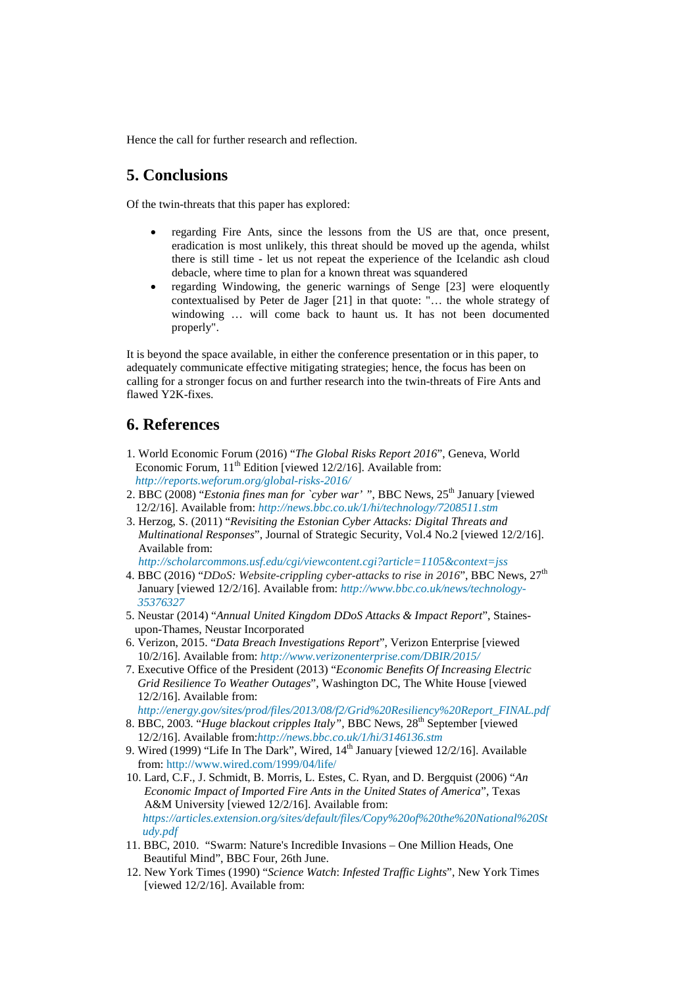Hence the call for further research and reflection.

## **5. Conclusions**

Of the twin-threats that this paper has explored:

- regarding Fire Ants, since the lessons from the US are that, once present, eradication is most unlikely, this threat should be moved up the agenda, whilst there is still time - let us not repeat the experience of the Icelandic ash cloud debacle, where time to plan for a known threat was squandered
- regarding Windowing, the generic warnings of Senge [23] were eloquently contextualised by Peter de Jager [21] in that quote: "… the whole strategy of windowing … will come back to haunt us. It has not been documented properly".

It is beyond the space available, in either the conference presentation or in this paper, to adequately communicate effective mitigating strategies; hence, the focus has been on calling for a stronger focus on and further research into the twin-threats of Fire Ants and flawed Y2K-fixes.

### **6. References**

- 1. World Economic Forum (2016) "*The Global Risks Report 2016*", Geneva, World Economic Forum,  $11^{th}$  Edition [viewed 12/2/16]. Available from: *<http://reports.weforum.org/global-risks-2016/>*
- 2. BBC (2008) "*Estonia fines man for `cyber war'* ", BBC News, 25<sup>th</sup> January [viewed] 12/2/16]. Available from: *<http://news.bbc.co.uk/1/hi/technology/7208511.stm>*
- 3. Herzog, S. (2011) "*Revisiting the Estonian Cyber Attacks: Digital Threats and Multinational Responses*", Journal of Strategic Security, Vol.4 No.2 [viewed 12/2/16]. Available from:

*<http://scholarcommons.usf.edu/cgi/viewcontent.cgi?article=1105&context=jss>*

- 4. BBC (2016) "*DDoS: Website-crippling cyber-attacks to rise in 2016*", BBC News, 27th January [viewed 12/2/16]. Available from: *[http://www.bbc.co.uk/news/technology-](http://www.bbc.co.uk/news/technology-%20%20%20%20%2035376327)  [35376327](http://www.bbc.co.uk/news/technology-%20%20%20%20%2035376327)*
- 5. Neustar (2014) "*Annual United Kingdom DDoS Attacks & Impact Report*", Staines upon-Thames, Neustar Incorporated
- 6. Verizon, 2015. "*Data Breach Investigations Report*", Verizon Enterprise [viewed 10/2/16]. Available from: *<http://www.verizonenterprise.com/DBIR/2015/>*
- 7. Executive Office of the President (2013) "*Economic Benefits Of Increasing Electric Grid Resilience To Weather Outages*", Washington DC, The White House [viewed 12/2/16]. Available from:
- *[http://energy.gov/sites/prod/files/2013/08/f2/Grid%20Resiliency%20Report\\_FINAL.pdf](http://energy.gov/sites/prod/files/2013/08/f2/Grid%20Resiliency%20Report_FINAL.pdf)*
- 8. BBC, 2003. "*Huge blackout cripples Italy",* BBC News, 28th September [viewed 12/2/16]. Available from:*<http://news.bbc.co.uk/1/hi/3146136.stm>*
- 9. Wired (1999) "Life In The Dark", Wired, 14<sup>th</sup> January [viewed 12/2/16]. Available from:<http://www.wired.com/1999/04/life/>
- 10. Lard, C.F., J. Schmidt, B. Morris, L. Estes, C. Ryan, and D. Bergquist (2006) "*An Economic Impact of Imported Fire Ants in the United States of America*", Texas A&M University [viewed 12/2/16]. Available from: *[https://articles.extension.org/sites/default/files/Copy%20of%20the%20National%20St](https://articles.extension.org/sites/default/files/Copy%20of%20the%20National%20Study.pdf) [udy.pdf](https://articles.extension.org/sites/default/files/Copy%20of%20the%20National%20Study.pdf)*
- 11. BBC, 2010. "Swarm: Nature's Incredible Invasions One Million Heads, One Beautiful Mind", BBC Four, 26th June.
- 12. New York Times (1990) "*Science Watch*: *Infested Traffic Lights*", New York Times [viewed 12/2/16]. Available from: